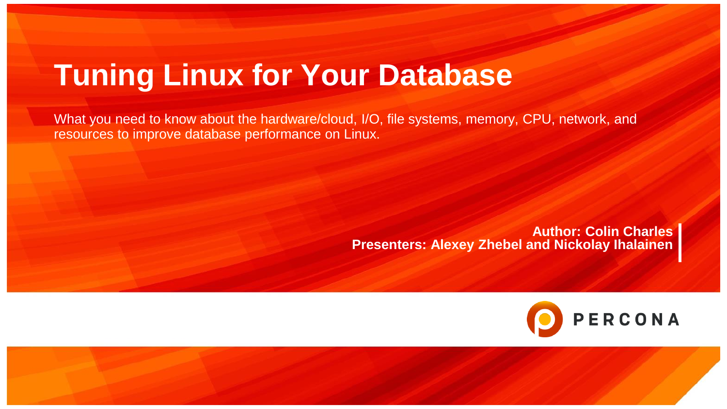# **Tuning Linux for Your Database**

What you need to know about the hardware/cloud, I/O, file systems, memory, CPU, network, and resources to improve database performance on Linux.

> **Author: Colin Charles Presenters: Alexey Zhebel and Nickolay Ihalainen**



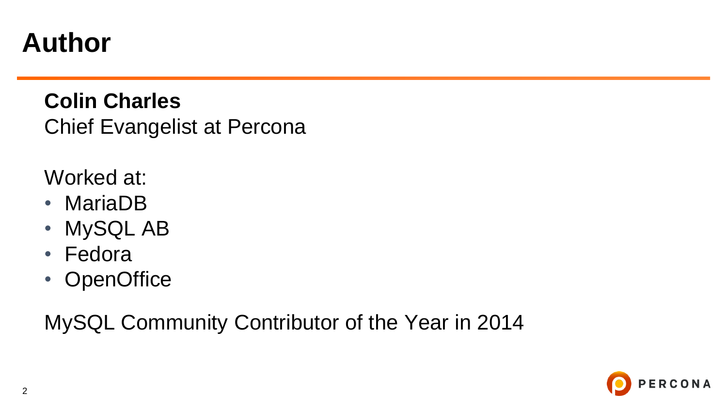#### **Author**

**Colin Charles** Chief Evangelist at Percona

Worked at:

- MariaDB
- MySQL AB
- Fedora
- OpenOffice

MySQL Community Contributor of the Year in 2014

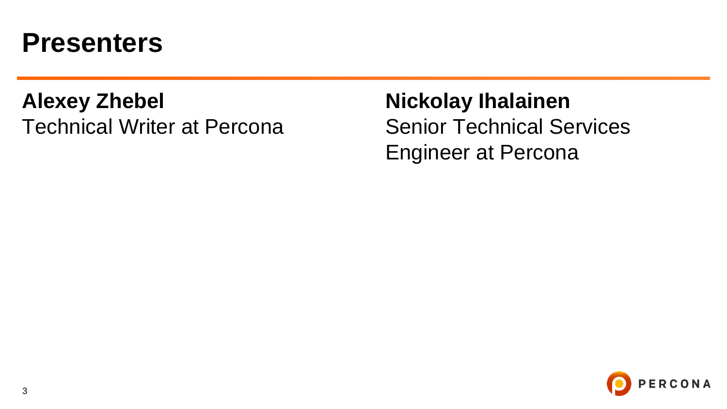#### **Presenters**

#### **Alexey Zhebel** Technical Writer at Percona

**Nickolay Ihalainen** Senior Technical Services Engineer at Percona

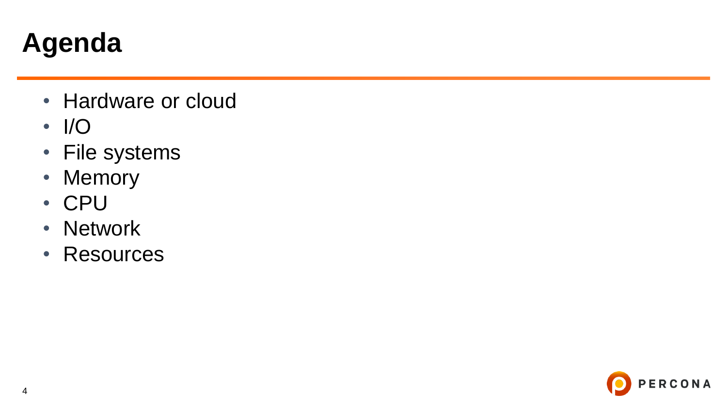## **Agenda**

- Hardware or cloud
- I/O
- File systems
- Memory
- CPU
- Network
- Resources

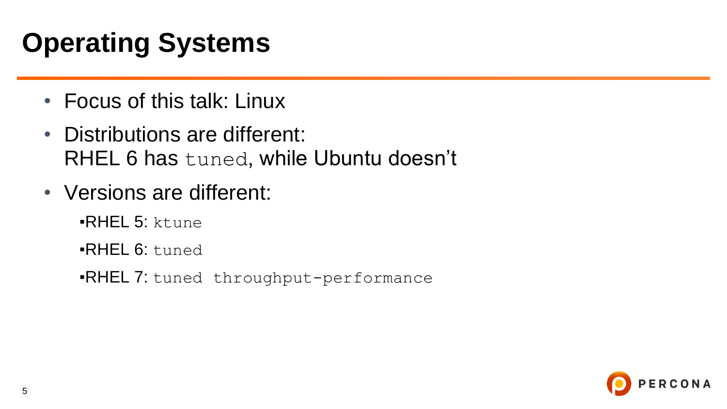# **Operating Systems**

- Focus of this talk: Linux
- Distributions are different: RHEL 6 has tuned, while Ubuntu doesn't
- Versions are different:
	- ▪RHEL 5: ktune
	- **RHEL 6: tuned**
	- **.RHEL 7:** tuned throughput-performance

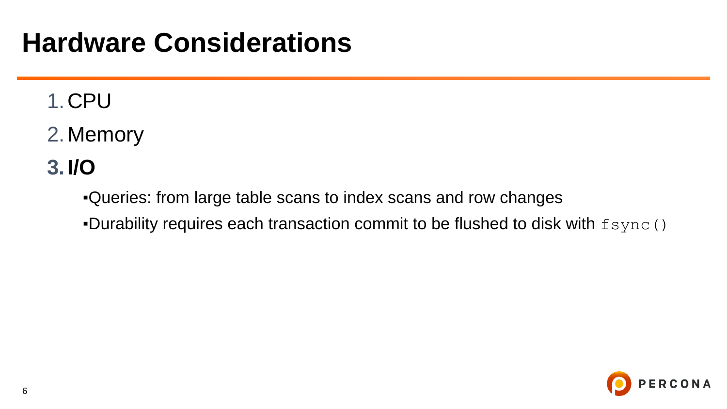#### **Hardware Considerations**

#### 1.CPU

2.Memory

#### **3.I/O**

▪Queries: from large table scans to index scans and row changes

**-Durability requires each transaction commit to be flushed to disk with**  $fsymc()$ 

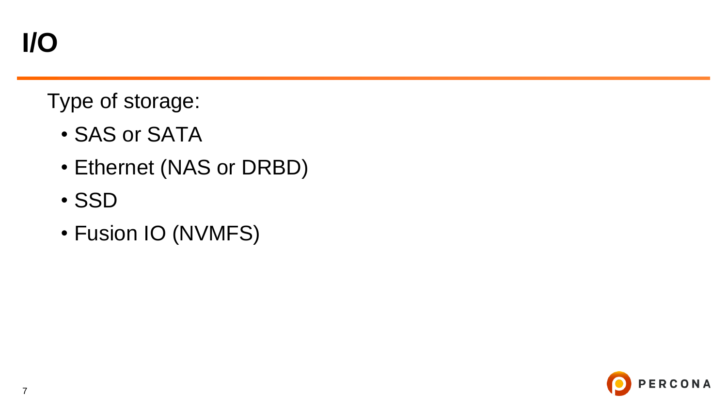Type of storage:

- SAS or SATA
- Ethernet (NAS or DRBD)
- SSD
- Fusion IO (NVMFS)

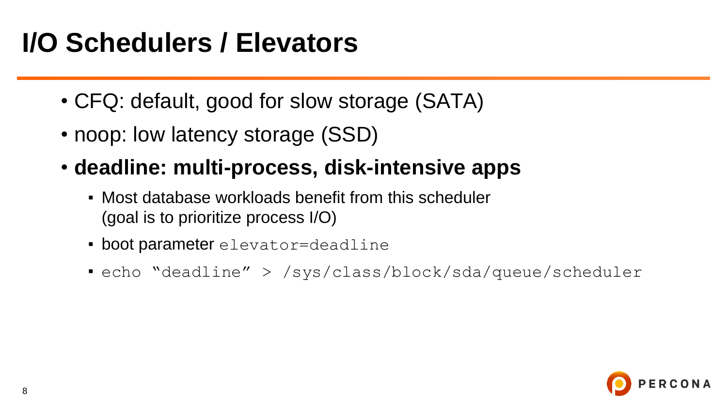#### **I/O Schedulers / Elevators**

- CFQ: default, good for slow storage (SATA)
- noop: low latency storage (SSD)
- **deadline: multi-process, disk-intensive apps**
	- Most database workloads benefit from this scheduler (goal is to prioritize process I/O)
	- **boot parameter** elevator=deadline
	- echo "deadline" > /sys/class/block/sda/queue/scheduler

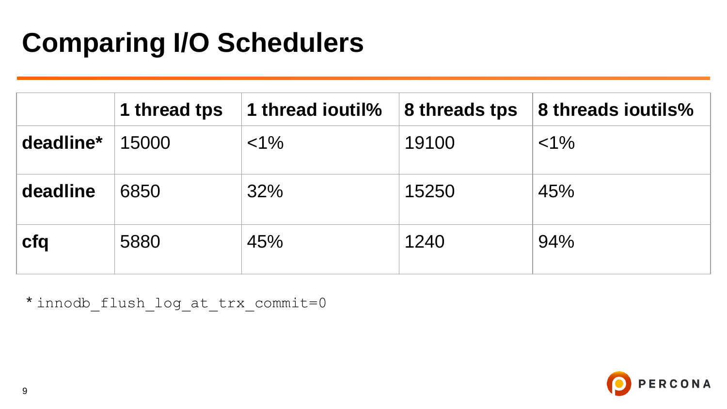### **Comparing I/O Schedulers**

|           | 1 thread tps | 1 thread ioutil% | 8 threads tps | 8 threads ioutils% |
|-----------|--------------|------------------|---------------|--------------------|
| deadline* | 15000        | $< 1\%$          | 19100         | $< 1\%$            |
| deadline  | 6850         | 32%              | 15250         | 45%                |
| cfq       | 5880         | 45%              | 1240          | 94%                |

\* innodb\_flush\_log\_at\_trx\_commit=0

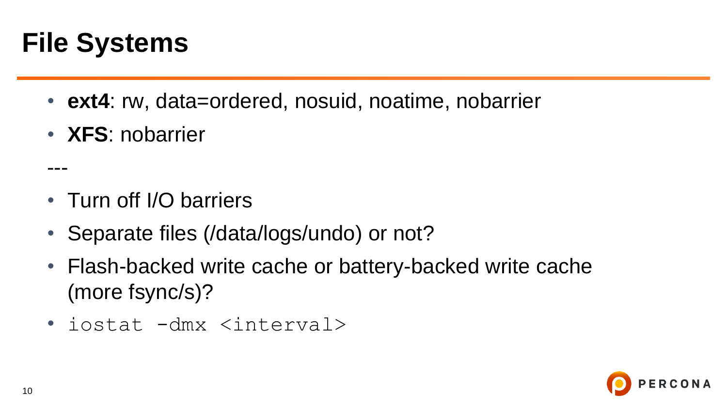### **File Systems**

---

- ext4: rw, data=ordered, nosuid, noatime, nobarrier
- **XFS**: nobarrier

- Turn off I/O barriers
- Separate files (/data/logs/undo) or not?
- Flash-backed write cache or battery-backed write cache (more fsync/s)?
- iostat -dmx <interval>

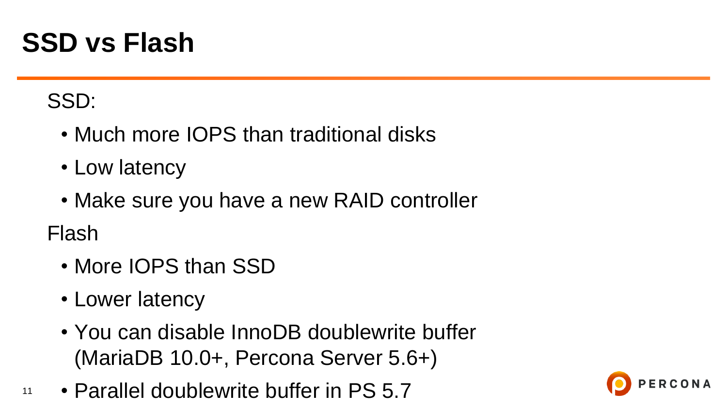#### **SSD vs Flash**

#### SSD:

- Much more IOPS than traditional disks
- Low latency
- Make sure you have a new RAID controller

Flash

- More IOPS than SSD
- Lower latency
- You can disable InnoDB doublewrite buffer (MariaDB 10.0+, Percona Server 5.6+)
- 11 • Parallel doublewrite buffer in PS 5.7

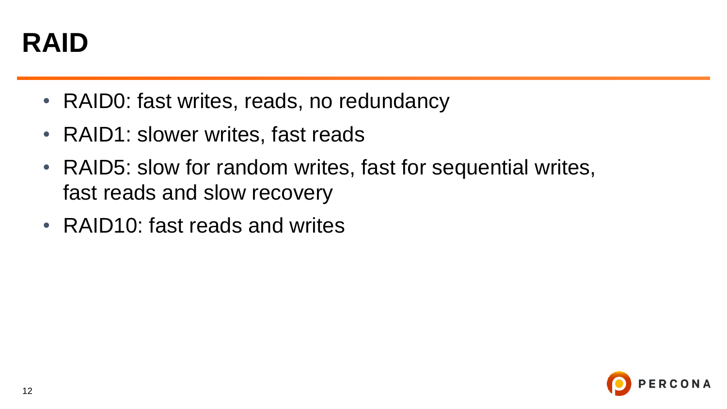

- RAID0: fast writes, reads, no redundancy
- RAID1: slower writes, fast reads
- RAID5: slow for random writes, fast for sequential writes, fast reads and slow recovery
- RAID10: fast reads and writes

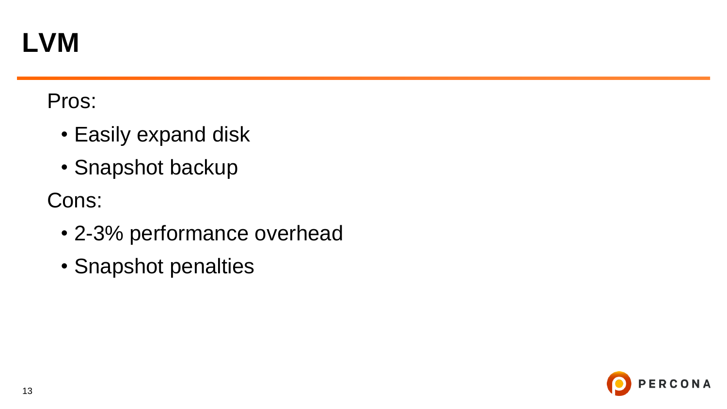#### **LVM**

#### Pros:

- Easily expand disk
- Snapshot backup

Cons:

- 2-3% performance overhead
- Snapshot penalties

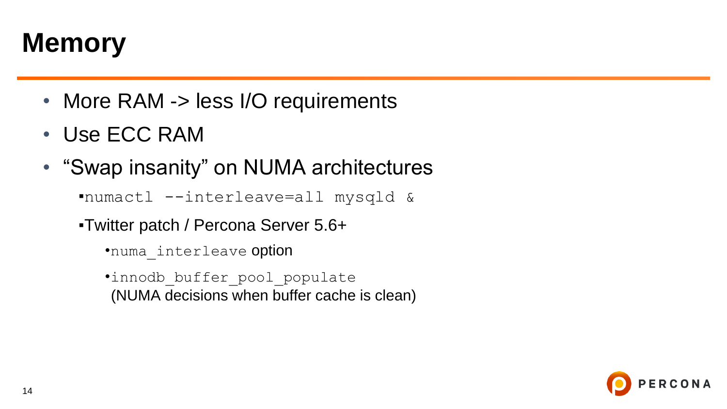#### **Memory**

- More RAM -> less I/O requirements
- Use ECC RAM
- "Swap insanity" on NUMA architectures

▪numactl --interleave=all mysqld &

- ▪Twitter patch / Percona Server 5.6+
	- •numa interleave option
	- •innodb\_buffer\_pool\_populate (NUMA decisions when buffer cache is clean)

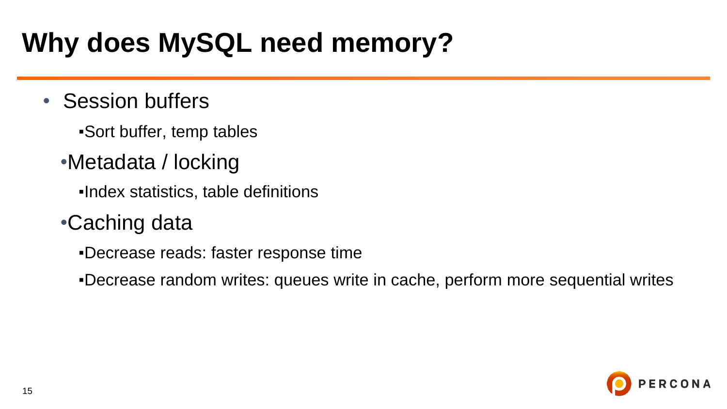### **Why does MySQL need memory?**

- Session buffers
	- ▪Sort buffer, temp tables
	- •Metadata / locking
		- ▪Index statistics, table definitions
	- •Caching data
		- ▪Decrease reads: faster response time
		- ▪Decrease random writes: queues write in cache, perform more sequential writes

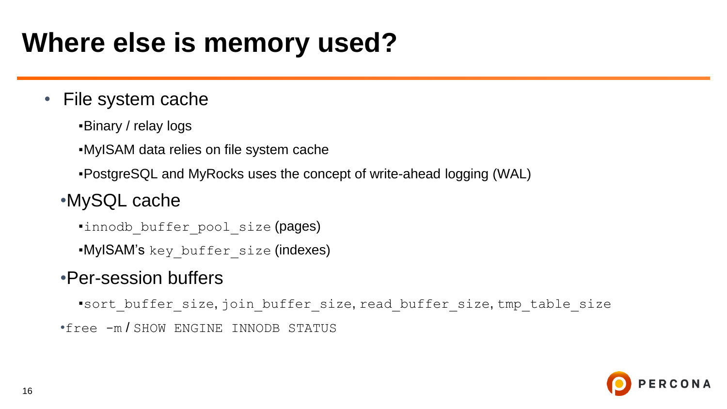### **Where else is memory used?**

#### • File system cache

▪Binary / relay logs

▪MyISAM data relies on file system cache

▪PostgreSQL and MyRocks uses the concept of write-ahead logging (WAL)

#### •MySQL cache

.innodb buffer pool size (pages)

**.MyISAM's** key buffer size (indexes)

#### •Per-session buffers

▪sort\_buffer\_size, join\_buffer\_size, read\_buffer\_size, tmp\_table\_size •free -m / SHOW ENGINE INNODB STATUS

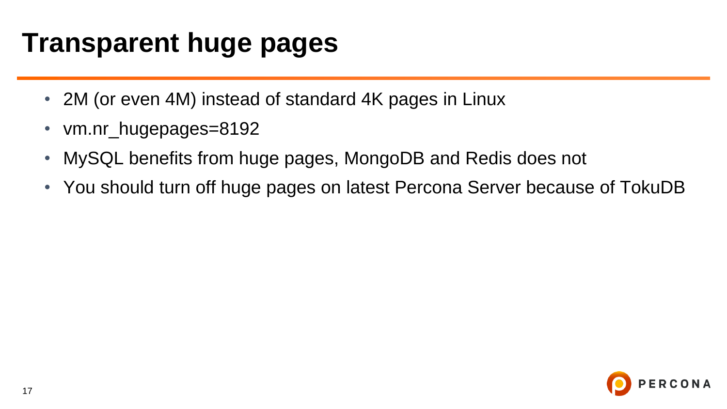#### **Transparent huge pages**

- 2M (or even 4M) instead of standard 4K pages in Linux
- vm.nr\_hugepages=8192
- MySQL benefits from huge pages, MongoDB and Redis does not
- You should turn off huge pages on latest Percona Server because of TokuDB

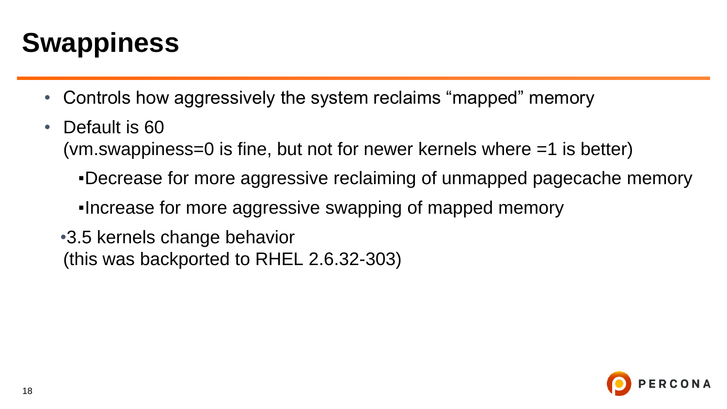# **Swappiness**

- Controls how aggressively the system reclaims "mapped" memory
- Default is 60 (vm.swappiness=0 is fine, but not for newer kernels where =1 is better)
	- ▪Decrease for more aggressive reclaiming of unmapped pagecache memory
	- ▪Increase for more aggressive swapping of mapped memory
	- •3.5 kernels change behavior (this was backported to RHEL 2.6.32-303)

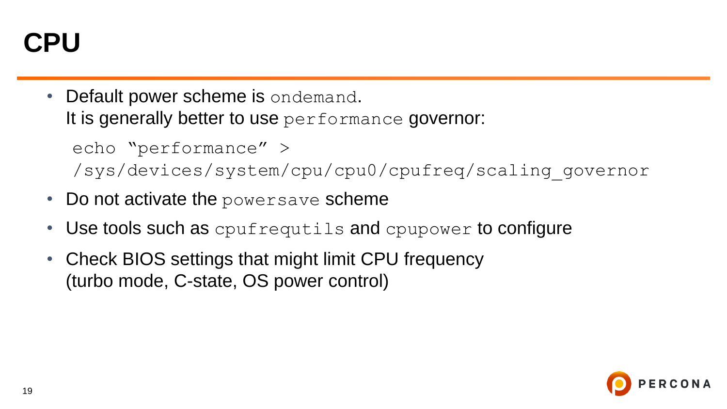### **CPU**

Default power scheme is ondemand. It is generally better to use performance governor:

echo "performance" > /sys/devices/system/cpu/cpu0/cpufreq/scaling\_governor

- Do not activate the powersave scheme
- Use tools such as cpufrequtils and cpupower to configure
- Check BIOS settings that might limit CPU frequency (turbo mode, C-state, OS power control)

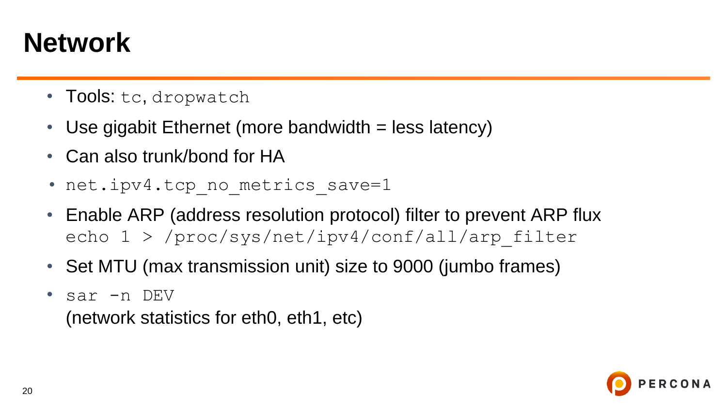### **Network**

- Tools: tc, dropwatch
- Use gigabit Ethernet (more bandwidth = less latency)
- Can also trunk/bond for HA
- net.ipv4.tcp no metrics save=1
- Enable ARP (address resolution protocol) filter to prevent ARP flux echo 1 > /proc/sys/net/ipv4/conf/all/arp\_filter
- Set MTU (max transmission unit) size to 9000 (jumbo frames)
- sar -n DEV

(network statistics for eth0, eth1, etc)

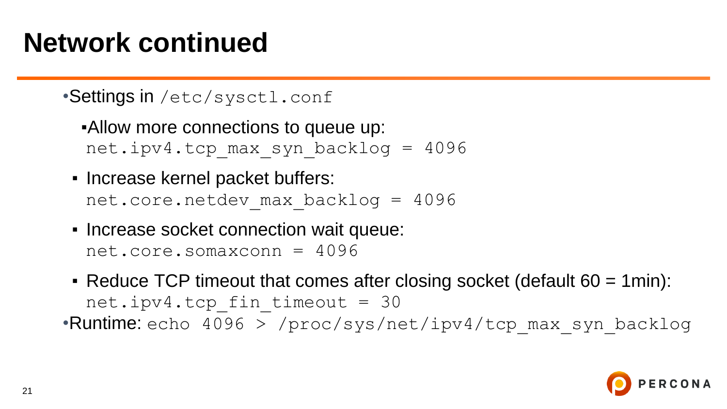#### **Network continued**

#### •Settings in /etc/sysctl.conf

**-Allow more connections to queue up:** net.ipv4.tcp\_max\_syn\_backlog = 4096

- Increase kernel packet buffers: net.core.netdev\_max\_backlog = 4096
- Increase socket connection wait queue: net.core.somaxconn = 4096
- **Reduce TCP timeout that comes after closing socket (default**  $60 = 1$ **min):** net.ipv4.tcp fin timeout =  $30$ •Runtime: echo 4096 > /proc/sys/net/ipv4/tcp\_max\_syn\_backlog

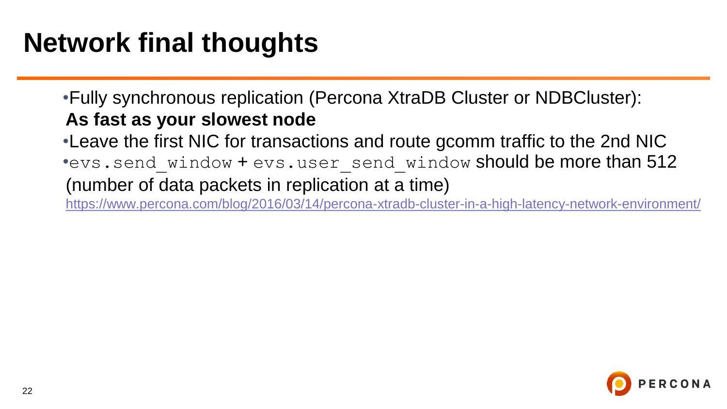# **Network final thoughts**

•Fully synchronous replication (Percona XtraDB Cluster or NDBCluster): **As fast as your slowest node**

•Leave the first NIC for transactions and route gcomm traffic to the 2nd NIC \*evs.send window + evs.user send window should be more than 512 (number of data packets in replication at a time)

<https://www.percona.com/blog/2016/03/14/percona-xtradb-cluster-in-a-high-latency-network-environment/>

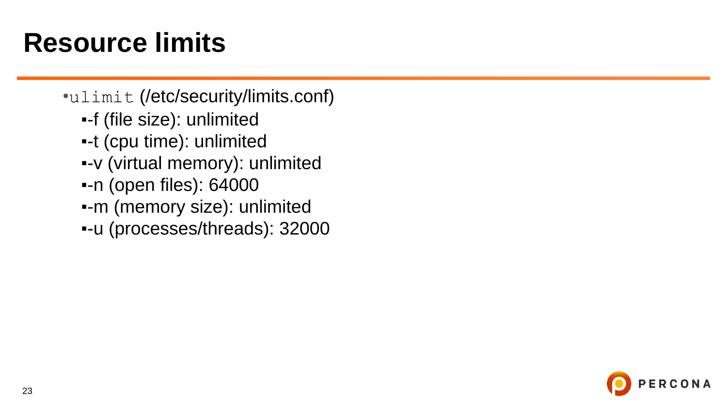#### **Resource limits**

•ulimit (/etc/security/limits.conf) ▪-f (file size): unlimited ▪-t (cpu time): unlimited ▪-v (virtual memory): unlimited ▪-n (open files): 64000 ▪-m (memory size): unlimited ▪-u (processes/threads): 32000

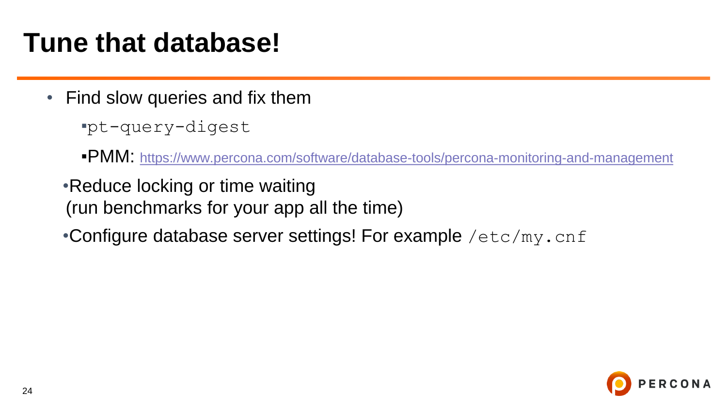#### **Tune that database!**

• Find slow queries and fix them

▪pt-query-digest

■PMM: <https://www.percona.com/software/database-tools/percona-monitoring-and-management>

•Reduce locking or time waiting (run benchmarks for your app all the time)

•Configure database server settings! For example /etc/my.cnf

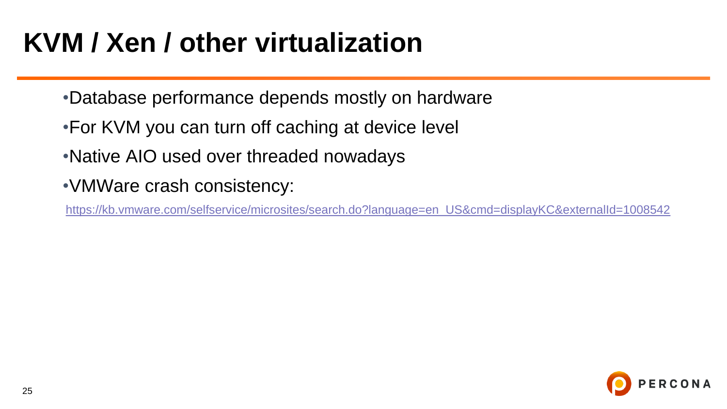# **KVM / Xen / other virtualization**

- •Database performance depends mostly on hardware
- •For KVM you can turn off caching at device level
- •Native AIO used over threaded nowadays
- •VMWare crash consistency:

[https://kb.vmware.com/selfservice/microsites/search.do?language=en\\_US&cmd=displayKC&externalId=1008542](https://kb.vmware.com/selfservice/microsites/search.do?language=en_US&cmd=displayKC&externalId=1008542)

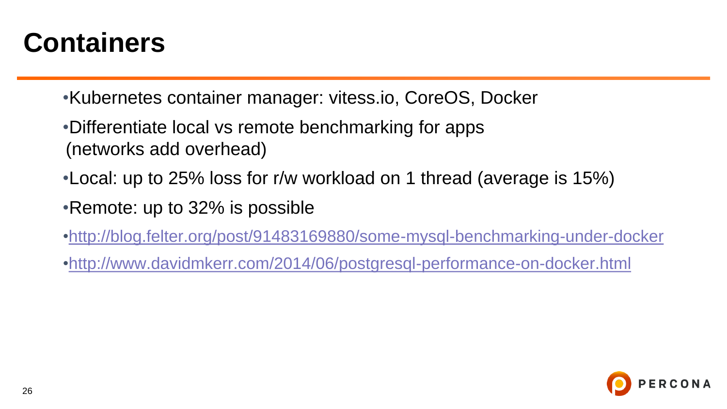### **Containers**

- •Kubernetes container manager: vitess.io, CoreOS, Docker
- •Differentiate local vs remote benchmarking for apps (networks add overhead)
- •Local: up to 25% loss for r/w workload on 1 thread (average is 15%)
- •Remote: up to 32% is possible
- •<http://blog.felter.org/post/91483169880/some-mysql-benchmarking-under-docker>
- •<http://www.davidmkerr.com/2014/06/postgresql-performance-on-docker.html>

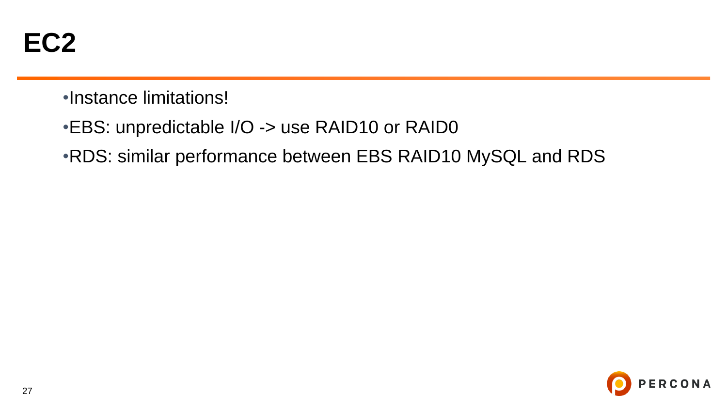- •Instance limitations!
- •EBS: unpredictable I/O -> use RAID10 or RAID0
- •RDS: similar performance between EBS RAID10 MySQL and RDS

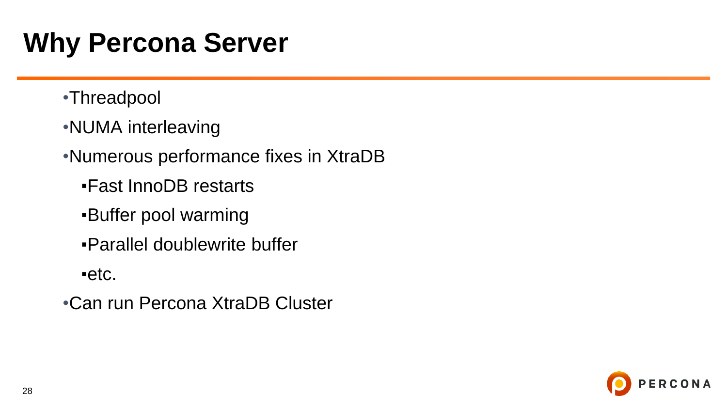# **Why Percona Server**

- •Threadpool
- •NUMA interleaving

•Numerous performance fixes in XtraDB

- ▪Fast InnoDB restarts
- **Buffer pool warming**
- ▪Parallel doublewrite buffer

 $e$ etc.

•Can run Percona XtraDB Cluster

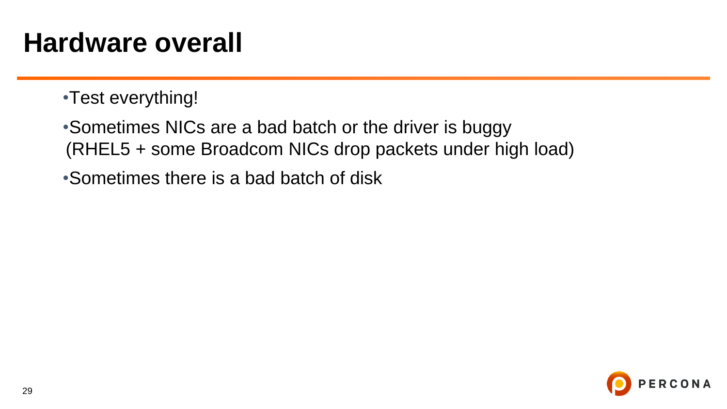#### **Hardware overall**

•Test everything!

•Sometimes NICs are a bad batch or the driver is buggy (RHEL5 + some Broadcom NICs drop packets under high load)

•Sometimes there is a bad batch of disk

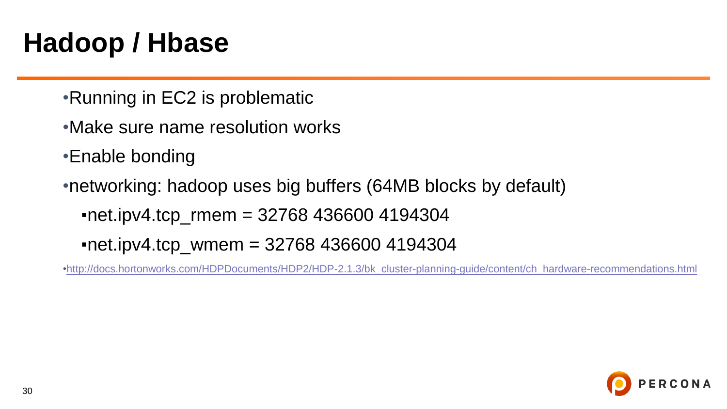# **Hadoop / Hbase**

- •Running in EC2 is problematic
- •Make sure name resolution works
- •Enable bonding
- •networking: hadoop uses big buffers (64MB blocks by default)

 $\cdot$ net.ipv4.tcp\_rmem = 32768 436600 4194304

 $\cdot$ net.ipv4.tcp\_wmem = 32768 436600 4194304

•[http://docs.hortonworks.com/HDPDocuments/HDP2/HDP-2.1.3/bk\\_cluster-planning-guide/content/ch\\_hardware-recommendations.html](http://docs.hortonworks.com/HDPDocuments/HDP2/HDP-2.1.3/bk_cluster-planning-guide/content/ch_hardware-recommendations.html)

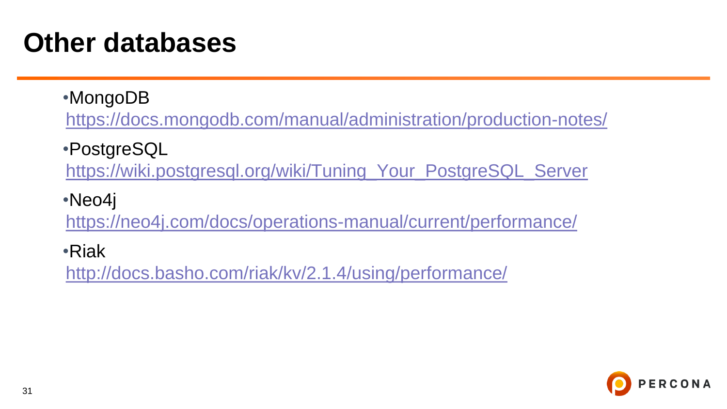#### **Other databases**

- •MongoDB <https://docs.mongodb.com/manual/administration/production-notes/>
- •PostgreSQL

[https://wiki.postgresql.org/wiki/Tuning\\_Your\\_PostgreSQL\\_Server](https://wiki.postgresql.org/wiki/Tuning_Your_PostgreSQL_Server)

•Neo4j

<https://neo4j.com/docs/operations-manual/current/performance/>

•Riak

<http://docs.basho.com/riak/kv/2.1.4/using/performance/>

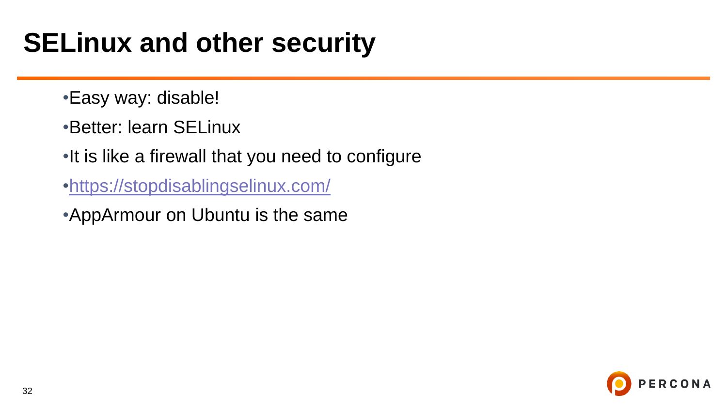## **SELinux and other security**

- •Easy way: disable!
- •Better: learn SELinux
- •It is like a firewall that you need to configure
- [•https://stopdisablingselinux.com/](https://stopdisablingselinux.com/)
- •AppArmour on Ubuntu is the same

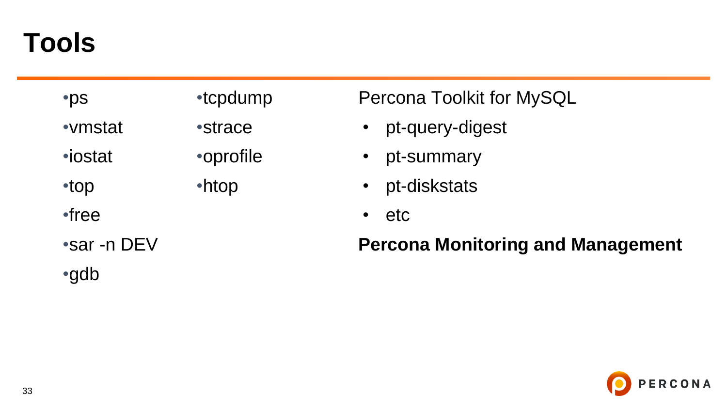#### **Tools**

| •ps            | •tcpdump       | <b>Percona Toolkit for MySQL</b> |
|----------------|----------------|----------------------------------|
| •vmstat        | <i>•strace</i> | • pt-query-digest                |
| <i>•iostat</i> | •oprofile      | pt-summary<br>$\bullet$          |
| •top           | •htop          | • pt-diskstats                   |
| •free          |                | $\cdot$ etc                      |

•sar -n DEV

•gdb

#### **Percona Monitoring and Management**

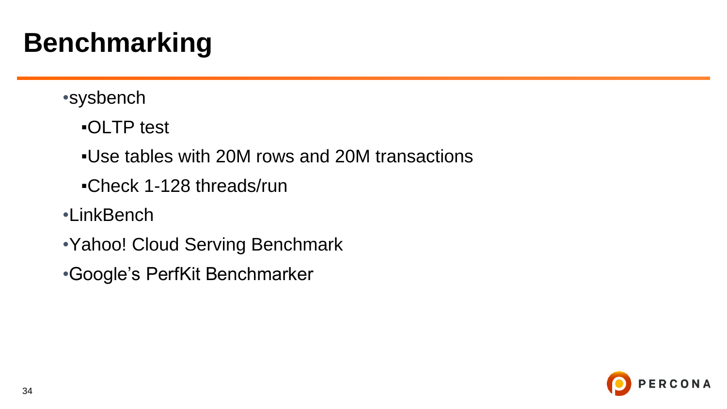### **Benchmarking**

- •sysbench
	- ▪OLTP test
	- ▪Use tables with 20M rows and 20M transactions
	- ▪Check 1-128 threads/run
- •LinkBench
- •Yahoo! Cloud Serving Benchmark
- •Google's PerfKit Benchmarker

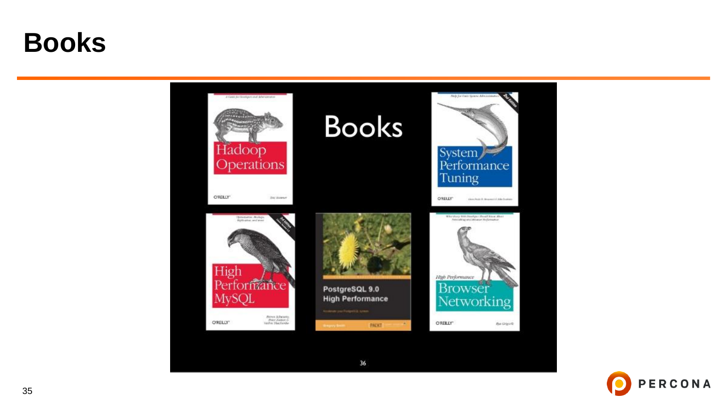#### **Books**



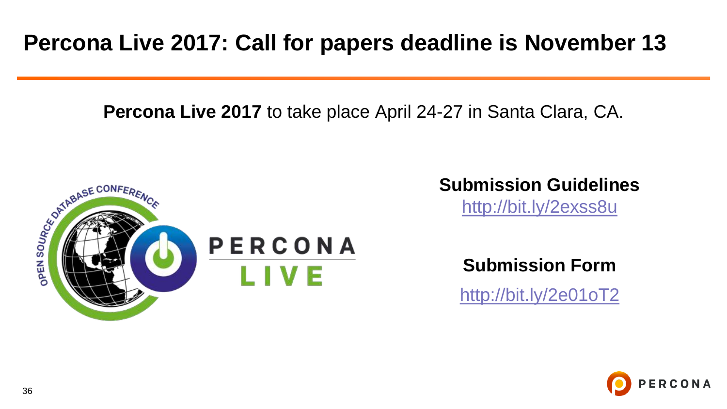#### **Percona Live 2017: Call for papers deadline is November 13**

**Percona Live 2017** to take place April 24-27 in Santa Clara, CA.



#### **Submission Guidelines**

<http://bit.ly/2exss8u>

**Submission Form**

<http://bit.ly/2e01oT2>

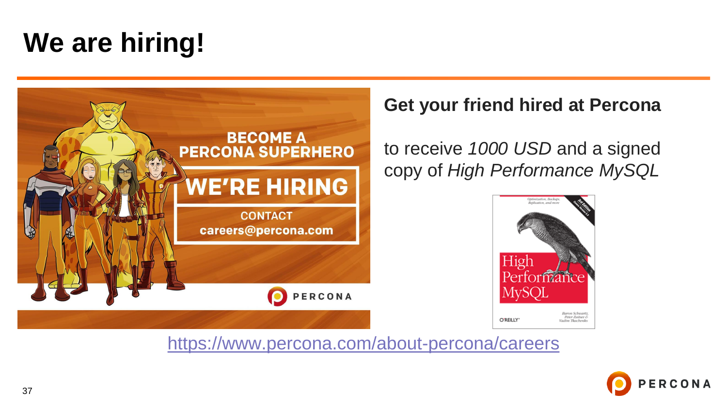## **We are hiring!**



#### **Get your friend hired at Percona**

to receive *1000 USD* and a signed copy of *High Performance MySQL*



<https://www.percona.com/about-percona/careers>